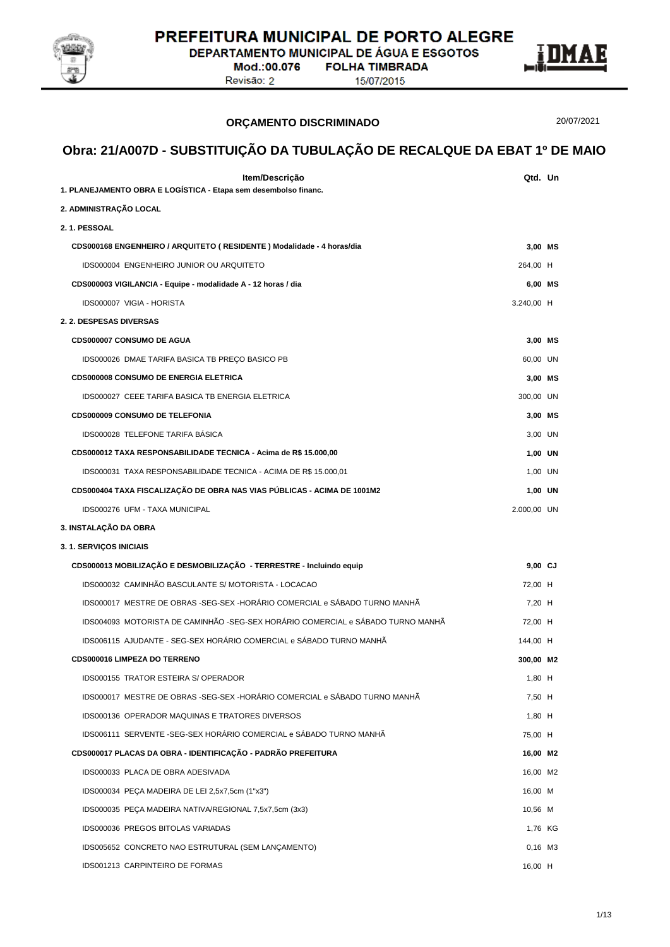

**DEPARTAMENTO MUNICIPAL DE ÁGUA E ESGOTOS** 

Mod.:00.076 Revisão: 2

**ORÇAMENTO DISCRIMINADO**

**FOLHA TIMBRADA** 15/07/2015



20/07/2021

| Item/Descrição<br>1. PLANEJAMENTO OBRA E LOGISTICA - Etapa sem desembolso financ.           | Qtd. Un              |  |
|---------------------------------------------------------------------------------------------|----------------------|--|
| 2. ADMINISTRAÇÃO LOCAL                                                                      |                      |  |
| 2.1. PESSOAL                                                                                |                      |  |
| CDS000168 ENGENHEIRO / ARQUITETO (RESIDENTE) Modalidade - 4 horas/dia                       | 3,00 MS              |  |
| IDS000004 ENGENHEIRO JUNIOR OU ARQUITETO                                                    | 264,00 H             |  |
| CDS000003 VIGILANCIA - Equipe - modalidade A - 12 horas / dia                               | 6,00 MS              |  |
| IDS000007 VIGIA - HORISTA                                                                   | 3.240,00 H           |  |
| 2. 2. DESPESAS DIVERSAS                                                                     |                      |  |
| CDS000007 CONSUMO DE AGUA                                                                   | 3,00 MS              |  |
| IDS000026 DMAE TARIFA BASICA TB PREÇO BASICO PB                                             | 60,00 UN             |  |
| <b>CDS000008 CONSUMO DE ENERGIA ELETRICA</b>                                                |                      |  |
| <b>IDS000027 CEEE TARIFA BASICA TB ENERGIA ELETRICA</b>                                     | 3,00 MS<br>300,00 UN |  |
| <b>CDS000009 CONSUMO DE TELEFONIA</b>                                                       | 3,00 MS              |  |
| IDS000028 TELEFONE TARIFA BASICA                                                            | 3,00 UN              |  |
| CDS000012 TAXA RESPONSABILIDADE TECNICA - Acima de R\$ 15.000,00                            | 1,00 UN              |  |
| IDS000031 TAXA RESPONSABILIDADE TECNICA - ACIMA DE R\$ 15.000,01                            | 1,00 UN              |  |
| CDS000404 TAXA FISCALIZAÇÃO DE OBRA NAS VIAS PÚBLICAS - ACIMA DE 1001M2                     | 1,00 UN              |  |
| IDS000276 UFM - TAXA MUNICIPAL                                                              | 2.000,00 UN          |  |
| 3. INSTALAÇÃO DA OBRA                                                                       |                      |  |
| 3.1. SERVIÇOS INICIAIS                                                                      |                      |  |
| CDS000013 MOBILIZAÇÃO E DESMOBILIZAÇÃO - TERRESTRE - Incluindo equip                        | $9,00$ CJ            |  |
| IDS000032 CAMINHÃO BASCULANTE S/ MOTORISTA - LOCACAO                                        | 72,00 H              |  |
| IDS000017 MESTRE DE OBRAS -SEG-SEX -HORÁRIO COMERCIAL e SÁBADO TURNO MANHÃ                  | 7,20 H               |  |
| IDS004093 MOTORISTA DE CAMINHÃO -SEG-SEX HORÁRIO COMERCIAL e SÁBADO TURNO MANHÃ             |                      |  |
| IDS006115 AJUDANTE - SEG-SEX HORÁRIO COMERCIAL e SÁBADO TURNO MANHÃ                         | 72,00 H              |  |
| CDS000016 LIMPEZA DO TERRENO                                                                | 144,00 H             |  |
| IDS000155 TRATOR ESTEIRA S/ OPERADOR                                                        | 300,00 M2            |  |
| IDS000017 MESTRE DE OBRAS -SEG-SEX -HORÁRIO COMERCIAL e SÁBADO TURNO MANHÃ                  | 1,80 H               |  |
| IDS000136 OPERADOR MAQUINAS E TRATORES DIVERSOS                                             | 7,50 H               |  |
| IDS006111 SERVENTE - SEG-SEX HORÁRIO COMERCIAL e SÁBADO TURNO MANHÃ                         | $1,80$ H<br>75,00 H  |  |
| CDS000017 PLACAS DA OBRA - IDENTIFICAÇÃO - PADRÃO PREFEITURA                                |                      |  |
| IDS000033 PLACA DE OBRA ADESIVADA                                                           | 16,00 M2             |  |
| IDS000034 PECA MADEIRA DE LEI 2,5x7,5cm (1"x3")                                             | 16,00 M2             |  |
|                                                                                             | 16,00 M              |  |
| IDS000035 PEÇA MADEIRA NATIVA/REGIONAL 7,5x7,5cm (3x3)<br>IDS000036 PREGOS BITOLAS VARIADAS | 10,56 M              |  |
|                                                                                             | 1,76 KG              |  |
| IDS005652 CONCRETO NAO ESTRUTURAL (SEM LANÇAMENTO)                                          | $0,16$ M3            |  |
| IDS001213 CARPINTEIRO DE FORMAS                                                             | 16,00 H              |  |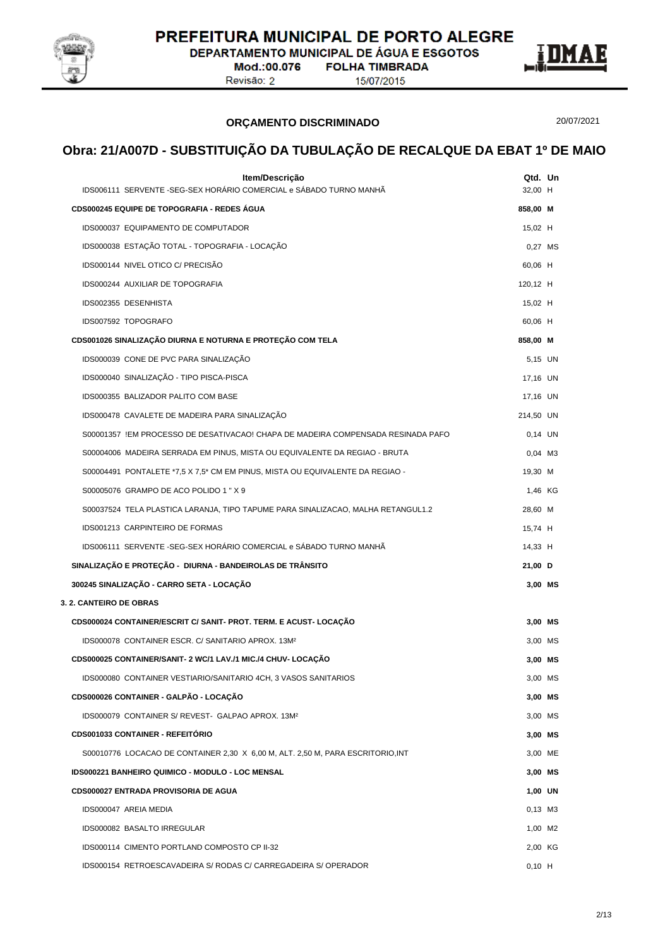

DEPARTAMENTO MUNICIPAL DE ÁGUA E ESGOTOS

Mod.:00.076 Revisão: 2

**FOLHA TIMBRADA** 15/07/2015



**ORÇAMENTO DISCRIMINADO**

20/07/2021

| Item/Descrição<br>IDS006111 SERVENTE - SEG-SEX HORÁRIO COMERCIAL e SÁBADO TURNO MANHÃ                           | Qtd. Un<br>32,00 H  |  |
|-----------------------------------------------------------------------------------------------------------------|---------------------|--|
| CDS000245 EQUIPE DE TOPOGRAFIA - REDES ÁGUA                                                                     | 858,00 M            |  |
| IDS000037 EQUIPAMENTO DE COMPUTADOR                                                                             | 15,02 H             |  |
| IDS000038 ESTAÇÃO TOTAL - TOPOGRAFIA - LOCAÇÃO                                                                  | 0,27 MS             |  |
| IDS000144 NIVEL OTICO C/ PRECISÃO                                                                               | 60,06 H             |  |
| IDS000244 AUXILIAR DE TOPOGRAFIA                                                                                | 120,12 H            |  |
| IDS002355 DESENHISTA                                                                                            | 15,02 H             |  |
| IDS007592 TOPOGRAFO                                                                                             | 60,06 H             |  |
| CDS001026 SINALIZAÇÃO DIURNA E NOTURNA E PROTEÇÃO COM TELA                                                      | 858,00 M            |  |
| IDS000039 CONE DE PVC PARA SINALIZAÇÃO                                                                          | 5,15 UN             |  |
| IDS000040 SINALIZAÇÃO - TIPO PISCA-PISCA                                                                        | 17,16 UN            |  |
| IDS000355 BALIZADOR PALITO COM BASE                                                                             | 17,16 UN            |  |
| IDS000478 CAVALETE DE MADEIRA PARA SINALIZAÇÃO                                                                  | 214,50 UN           |  |
| S00001357 !EM PROCESSO DE DESATIVACAO! CHAPA DE MADEIRA COMPENSADA RESINADA PAFO                                | $0,14$ UN           |  |
| S00004006 MADEIRA SERRADA EM PINUS, MISTA OU EQUIVALENTE DA REGIAO - BRUTA                                      | $0,04$ M3           |  |
| S00004491 PONTALETE *7,5 X 7,5 * CM EM PINUS, MISTA OU EQUIVALENTE DA REGIAO -                                  | 19,30 M             |  |
| S00005076 GRAMPO DE ACO POLIDO 1 " X 9                                                                          | 1,46 KG             |  |
| S00037524 TELA PLASTICA LARANJA, TIPO TAPUME PARA SINALIZACAO, MALHA RETANGUL1.2                                | 28,60 M             |  |
| IDS001213 CARPINTEIRO DE FORMAS                                                                                 | 15,74 H             |  |
| IDS006111 SERVENTE - SEG-SEX HORÁRIO COMERCIAL e SÁBADO TURNO MANHÃ                                             | 14,33 H             |  |
| SINALIZAÇÃO E PROTEÇÃO - DIURNA - BANDEIROLAS DE TRÂNSITO                                                       | 21,00 D             |  |
| 300245 SINALIZAÇÃO - CARRO SETA - LOCAÇÃO                                                                       | 3,00 MS             |  |
| <b>3. 2. CANTEIRO DE OBRAS</b>                                                                                  |                     |  |
| CDS000024 CONTAINER/ESCRIT C/ SANIT- PROT. TERM. E ACUST- LOCAÇÃO                                               | 3,00 MS             |  |
| IDS000078 CONTAINER ESCR. C/ SANITARIO APROX. 13M <sup>2</sup>                                                  | 3,00 MS             |  |
| CDS000025 CONTAINER/SANIT- 2 WC/1 LAV./1 MIC./4 CHUV- LOCAÇÃO                                                   | 3,00 MS             |  |
| IDS000080 CONTAINER VESTIARIO/SANITARIO 4CH, 3 VASOS SANITARIOS                                                 | 3,00 MS             |  |
| CDS000026 CONTAINER - GALPÃO - LOCAÇÃO                                                                          | 3,00 MS             |  |
| IDS000079 CONTAINER S/ REVEST- GALPAO APROX. 13M2                                                               | 3,00 MS             |  |
| <b>CDS001033 CONTAINER - REFEITÓRIO</b>                                                                         | 3,00 MS             |  |
| S00010776 LOCACAO DE CONTAINER 2,30 X 6,00 M, ALT. 2,50 M, PARA ESCRITORIO, INT                                 | 3,00 ME             |  |
| IDS000221 BANHEIRO QUIMICO - MODULO - LOC MENSAL                                                                | 3,00 MS             |  |
| <b>CDS000027 ENTRADA PROVISORIA DE AGUA</b>                                                                     | 1,00 UN             |  |
| IDS000047 AREIA MEDIA                                                                                           | 0,13 M3             |  |
| IDS000082 BASALTO IRREGULAR                                                                                     | 1,00 M2             |  |
| IDS000114 CIMENTO PORTLAND COMPOSTO CP II-32<br>IDS000154 RETROESCAVADEIRA S/ RODAS C/ CARREGADEIRA S/ OPERADOR | 2,00 KG<br>$0,10$ H |  |
|                                                                                                                 |                     |  |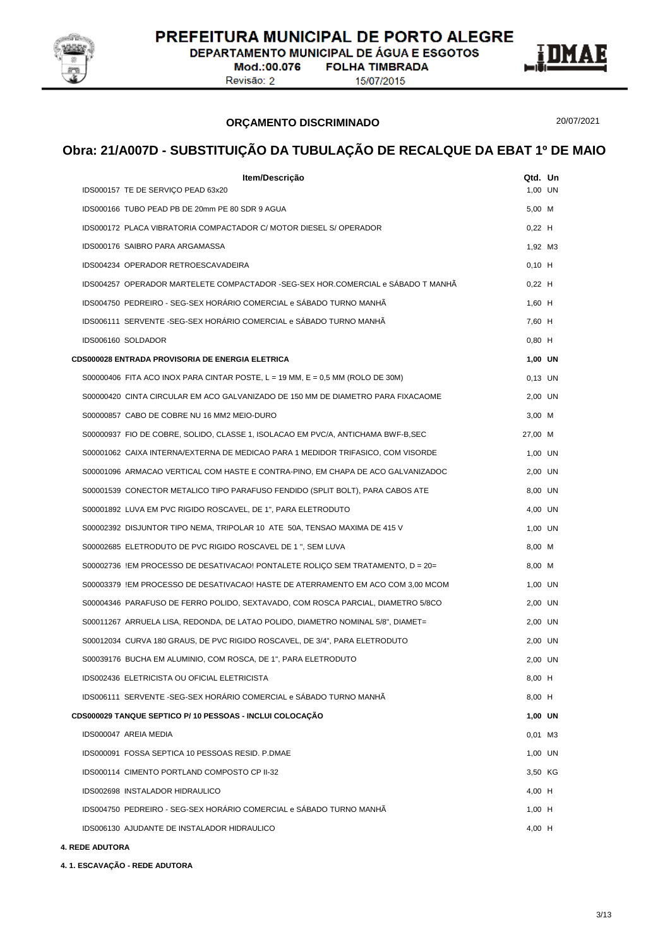

DEPARTAMENTO MUNICIPAL DE ÁGUA E ESGOTOS

Mod.:00.076 Revisão: 2

**FOLHA TIMBRADA** 15/07/2015



#### **ORÇAMENTO DISCRIMINADO**

20/07/2021

# **Obra: 21/A007D - SUBSTITUIÇÃO DA TUBULAÇÃO DE RECALQUE DA EBAT 1º DE MAIO**

| Item/Descrição                                                                     | Qtd. Un   |  |
|------------------------------------------------------------------------------------|-----------|--|
| IDS000157 TE DE SERVIÇO PEAD 63x20                                                 | 1,00 UN   |  |
| IDS000166 TUBO PEAD PB DE 20mm PE 80 SDR 9 AGUA                                    | 5,00 M    |  |
| IDS000172 PLACA VIBRATORIA COMPACTADOR C/ MOTOR DIESEL S/ OPERADOR                 | $0,22$ H  |  |
| IDS000176 SAIBRO PARA ARGAMASSA                                                    | 1,92 M3   |  |
| IDS004234 OPERADOR RETROESCAVADEIRA                                                | $0,10$ H  |  |
| IDS004257 OPERADOR MARTELETE COMPACTADOR -SEG-SEX HOR.COMERCIAL e SÁBADO T MANHÃ   | $0,22$ H  |  |
| IDS004750 PEDREIRO - SEG-SEX HORÁRIO COMERCIAL e SÁBADO TURNO MANHÃ                | $1,60$ H  |  |
| IDS006111 SERVENTE -SEG-SEX HORÁRIO COMERCIAL e SÁBADO TURNO MANHÃ                 | 7,60 H    |  |
| IDS006160 SOLDADOR                                                                 | $0,80$ H  |  |
| <b>CDS000028 ENTRADA PROVISORIA DE ENERGIA ELETRICA</b>                            | 1,00 UN   |  |
| S00000406 FITA ACO INOX PARA CINTAR POSTE, $L = 19$ MM, $E = 0.5$ MM (ROLO DE 30M) | $0,13$ UN |  |
| S00000420 CINTA CIRCULAR EM ACO GALVANIZADO DE 150 MM DE DIAMETRO PARA FIXACAOME   | 2,00 UN   |  |
| S00000857 CABO DE COBRE NU 16 MM2 MEIO-DURO                                        | $3,00$ M  |  |
| S00000937 FIO DE COBRE, SOLIDO, CLASSE 1, ISOLACAO EM PVC/A, ANTICHAMA BWF-B,SEC   | 27,00 M   |  |
| S00001062 CAIXA INTERNA/EXTERNA DE MEDICAO PARA 1 MEDIDOR TRIFASICO, COM VISORDE   | 1.00 UN   |  |
| S00001096_ARMACAO VERTICAL COM HASTE E CONTRA-PINO, EM CHAPA DE ACO GALVANIZADOC   | 2,00 UN   |  |
| S00001539 CONECTOR METALICO TIPO PARAFUSO FENDIDO (SPLIT BOLT), PARA CABOS ATE     | 8,00 UN   |  |
| S00001892 LUVA EM PVC RIGIDO ROSCAVEL, DE 1", PARA ELETRODUTO                      | 4,00 UN   |  |
| S00002392 DISJUNTOR TIPO NEMA, TRIPOLAR 10 ATE 50A, TENSAO MAXIMA DE 415 V         | 1,00 UN   |  |
| S00002685 ELETRODUTO DE PVC RIGIDO ROSCAVEL DE 1 ", SEM LUVA                       | 8,00 M    |  |
| S00002736 !EM PROCESSO DE DESATIVACAO! PONTALETE ROLIÇO SEM TRATAMENTO, D = 20=    | 8,00 M    |  |
| S00003379 !EM PROCESSO DE DESATIVACAO! HASTE DE ATERRAMENTO EM ACO COM 3,00 MCOM   | 1,00 UN   |  |
| S00004346 PARAFUSO DE FERRO POLIDO, SEXTAVADO, COM ROSCA PARCIAL, DIAMETRO 5/8CO   | 2,00 UN   |  |
| S00011267 ARRUELA LISA, REDONDA, DE LATAO POLIDO, DIAMETRO NOMINAL 5/8", DIAMET=   | 2,00 UN   |  |
| S00012034 CURVA 180 GRAUS, DE PVC RIGIDO ROSCAVEL, DE 3/4", PARA ELETRODUTO        | 2,00 UN   |  |
| S00039176 BUCHA EM ALUMINIO, COM ROSCA, DE 1", PARA ELETRODUTO                     | 2,00 UN   |  |
| IDS002436 ELETRICISTA OU OFICIAL ELETRICISTA                                       | 8,00 H    |  |
| IDS006111 SERVENTE -SEG-SEX HORÁRIO COMERCIAL e SÁBADO TURNO MANHÃ                 | 8.00 H    |  |
| CDS000029 TANQUE SEPTICO P/ 10 PESSOAS - INCLUI COLOCAÇÃO                          | 1,00 UN   |  |
| IDS000047 AREIA MEDIA                                                              | 0,01 M3   |  |
| IDS000091 FOSSA SEPTICA 10 PESSOAS RESID. P.DMAE                                   | 1,00 UN   |  |
| IDS000114 CIMENTO PORTLAND COMPOSTO CP II-32                                       | 3,50 KG   |  |
| <b>IDS002698 INSTALADOR HIDRAULICO</b>                                             | 4,00 H    |  |
| IDS004750 PEDREIRO - SEG-SEX HORÁRIO COMERCIAL e SÁBADO TURNO MANHÃ                | $1,00$ H  |  |
| IDS006130 AJUDANTE DE INSTALADOR HIDRAULICO                                        | 4,00 H    |  |
|                                                                                    |           |  |

#### **4. REDE ADUTORA**

**4. 1. ESCAVAÇÃO - REDE ADUTORA**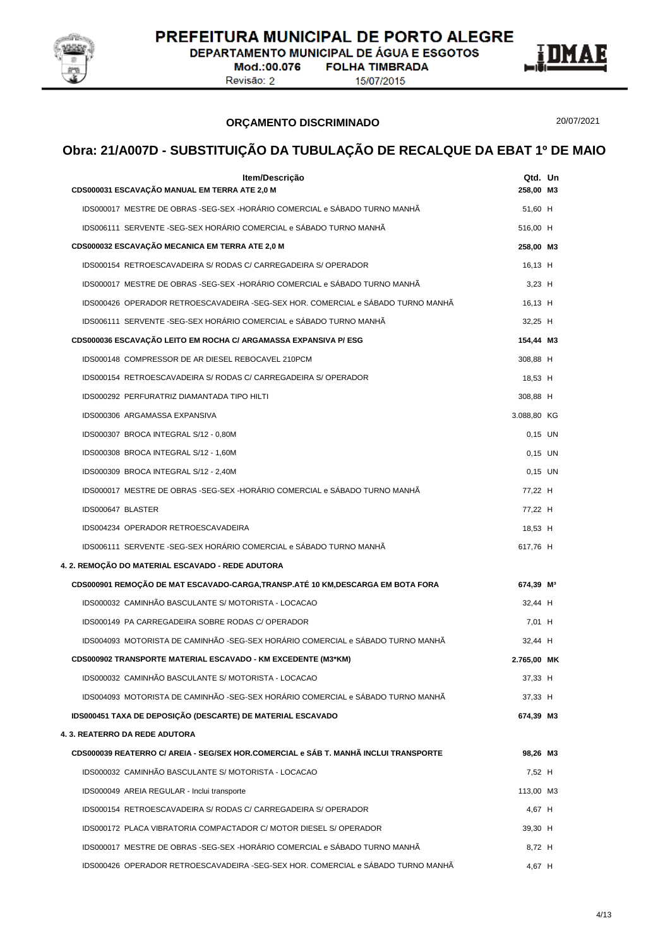

**DEPARTAMENTO MUNICIPAL DE ÁGUA E ESGOTOS FOLHA TIMBRADA** 

Mod.:00.076 Revisão: 2

15/07/2015



#### **ORÇAMENTO DISCRIMINADO**

20/07/2021

| Item/Descrição<br>CDS000031 ESCAVAÇÃO MANUAL EM TERRA ATE 2,0 M                      | Qtd. Un<br>258,00 M3  |  |
|--------------------------------------------------------------------------------------|-----------------------|--|
| IDS000017 MESTRE DE OBRAS -SEG-SEX -HORÁRIO COMERCIAL e SÁBADO TURNO MANHÃ           | 51,60 H               |  |
| IDS006111 SERVENTE -SEG-SEX HORÁRIO COMERCIAL e SÁBADO TURNO MANHÃ                   | 516,00 H              |  |
| CDS000032 ESCAVAÇÃO MECANICA EM TERRA ATE 2,0 M                                      | 258,00 M3             |  |
| IDS000154 RETROESCAVADEIRA S/ RODAS C/ CARREGADEIRA S/ OPERADOR                      | 16,13 H               |  |
| IDS000017 MESTRE DE OBRAS -SEG-SEX -HORÁRIO COMERCIAL e SÁBADO TURNO MANHÃ           | $3.23$ H              |  |
| IDS000426 OPERADOR RETROESCAVADEIRA -SEG-SEX HOR. COMERCIAL e SÁBADO TURNO MANHÃ     | 16,13 H               |  |
| IDS006111 SERVENTE -SEG-SEX HORÁRIO COMERCIAL e SÁBADO TURNO MANHÃ                   | 32,25 H               |  |
| CDS000036 ESCAVAÇÃO LEITO EM ROCHA C/ ARGAMASSA EXPANSIVA P/ ESG                     | 154,44 M3             |  |
| IDS000148 COMPRESSOR DE AR DIESEL REBOCAVEL 210PCM                                   | 308,88 H              |  |
| IDS000154 RETROESCAVADEIRA S/ RODAS C/ CARREGADEIRA S/ OPERADOR                      | 18,53 H               |  |
| IDS000292 PERFURATRIZ DIAMANTADA TIPO HILTI                                          | 308,88 H              |  |
| IDS000306 ARGAMASSA EXPANSIVA                                                        | 3.088,80 KG           |  |
| IDS000307 BROCA INTEGRAL S/12 - 0,80M                                                | $0,15$ UN             |  |
| IDS000308 BROCA INTEGRAL S/12 - 1,60M                                                | $0.15$ UN             |  |
| IDS000309 BROCA INTEGRAL S/12 - 2,40M                                                | $0.15$ UN             |  |
| IDS000017 MESTRE DE OBRAS -SEG-SEX -HORÁRIO COMERCIAL e SÁBADO TURNO MANHÃ           | 77,22 H               |  |
| IDS000647 BLASTER                                                                    | 77,22 H               |  |
| IDS004234 OPERADOR RETROESCAVADEIRA                                                  | 18,53 H               |  |
| IDS006111 SERVENTE - SEG-SEX HORÁRIO COMERCIAL e SÁBADO TURNO MANHÃ                  | 617,76 H              |  |
| 4. 2. REMOÇÃO DO MATERIAL ESCAVADO - REDE ADUTORA                                    |                       |  |
| CDS000901 REMOÇÃO DE MAT ESCAVADO-CARGA, TRANSP.ATÉ 10 KM, DESCARGA EM BOTA FORA     | 674,39 M <sup>3</sup> |  |
| IDS000032 CAMINHÃO BASCULANTE S/ MOTORISTA - LOCACAO                                 | 32,44 H               |  |
| IDS000149 PA CARREGADEIRA SOBRE RODAS C/ OPERADOR                                    | 7,01 H                |  |
| IDS004093 MOTORISTA DE CAMINHÃO -SEG-SEX HORÁRIO COMERCIAL e SÁBADO TURNO MANHÃ      | 32,44 H               |  |
| <b>CDS000902 TRANSPORTE MATERIAL ESCAVADO - KM EXCEDENTE (M3*KM)</b>                 | 2.765,00 MK           |  |
| IDS000032 CAMINHAO BASCULANTE S/ MOTORISTA - LOCACAO                                 | 37,33 H               |  |
| IDS004093 MOTORISTA DE CAMINHÃO -SEG-SEX HORÁRIO COMERCIAL e SÁBADO TURNO MANHÃ      | 37,33 H               |  |
| IDS000451 TAXA DE DEPOSIÇÃO (DESCARTE) DE MATERIAL ESCAVADO                          | 674,39 M3             |  |
| 4.3. REATERRO DA REDE ADUTORA                                                        |                       |  |
| CDS000039 REATERRO C/ AREIA - SEG/SEX HOR.COMERCIAL e SÁB T. MANHÃ INCLUI TRANSPORTE | 98,26 M3              |  |
| IDS000032 CAMINHÃO BASCULANTE S/ MOTORISTA - LOCACAO                                 | 7,52 H                |  |
| IDS000049 AREIA REGULAR - Inclui transporte                                          | 113,00 M3             |  |
| IDS000154 RETROESCAVADEIRA S/ RODAS C/ CARREGADEIRA S/ OPERADOR                      | 4,67 H                |  |
| IDS000172 PLACA VIBRATORIA COMPACTADOR C/ MOTOR DIESEL S/ OPERADOR                   | 39,30 H               |  |
| IDS000017 MESTRE DE OBRAS -SEG-SEX -HORÁRIO COMERCIAL e SÁBADO TURNO MANHÃ           | 8,72 H                |  |
| IDS000426 OPERADOR RETROESCAVADEIRA -SEG-SEX HOR. COMERCIAL e SÁBADO TURNO MANHÃ     | 4,67 H                |  |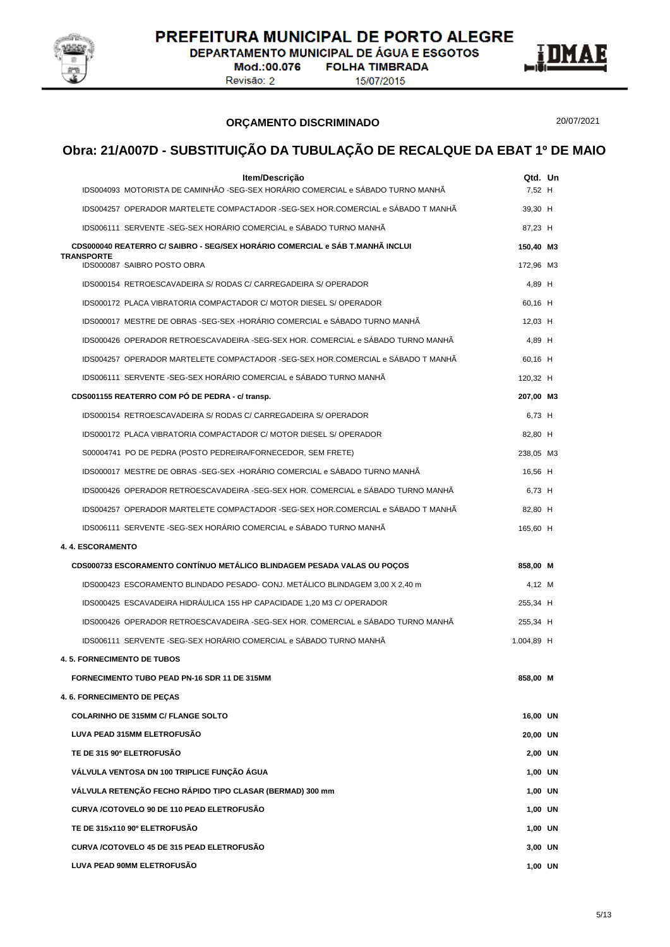

DEPARTAMENTO MUNICIPAL DE ÁGUA E ESGOTOS

Mod.:00.076 Revisão: 2

**FOLHA TIMBRADA** 15/07/2015



#### **ORÇAMENTO DISCRIMINADO**

20/07/2021

|                                                  | Item/Descrição<br>IDS004093 MOTORISTA DE CAMINHÃO -SEG-SEX HORÁRIO COMERCIAL e SÁBADO TURNO MANHÃ                                          | Qtd. Un<br>7,52 H |  |
|--------------------------------------------------|--------------------------------------------------------------------------------------------------------------------------------------------|-------------------|--|
|                                                  | IDS004257 OPERADOR MARTELETE COMPACTADOR -SEG-SEX HOR.COMERCIAL e SÁBADO T MANHÃ                                                           | 39,30 H           |  |
|                                                  | IDS006111 SERVENTE -SEG-SEX HORÁRIO COMERCIAL e SÁBADO TURNO MANHÃ                                                                         | 87,23 H           |  |
|                                                  | CDS000040 REATERRO C/ SAIBRO - SEG/SEX HORÁRIO COMERCIAL e SÁB T.MANHÃ INCLUI                                                              | 150,40 M3         |  |
| <b>TRANSPORTE</b><br>IDS000087 SAIBRO POSTO OBRA |                                                                                                                                            | 172,96 M3         |  |
|                                                  | IDS000154 RETROESCAVADEIRA S/ RODAS C/ CARREGADEIRA S/ OPERADOR                                                                            | 4,89 H            |  |
|                                                  | IDS000172 PLACA VIBRATORIA COMPACTADOR C/ MOTOR DIESEL S/ OPERADOR                                                                         | 60,16 H           |  |
|                                                  | IDS000017 MESTRE DE OBRAS -SEG-SEX -HORÁRIO COMERCIAL e SÁBADO TURNO MANHÃ                                                                 | 12,03 H           |  |
|                                                  | IDS000426 OPERADOR RETROESCAVADEIRA -SEG-SEX HOR. COMERCIAL e SÁBADO TURNO MANHÃ                                                           |                   |  |
|                                                  | IDS004257 OPERADOR MARTELETE COMPACTADOR -SEG-SEX HOR.COMERCIAL e SÁBADO T MANHÃ                                                           | 4,89 H<br>60,16 H |  |
|                                                  | IDS006111 SERVENTE -SEG-SEX HORÁRIO COMERCIAL e SÁBADO TURNO MANHÃ                                                                         |                   |  |
|                                                  |                                                                                                                                            | 120,32 H          |  |
|                                                  | CDS001155 REATERRO COM PÓ DE PEDRA - c/ transp.<br>IDS000154 RETROESCAVADEIRA S/ RODAS C/ CARREGADEIRA S/ OPERADOR                         | 207,00 M3         |  |
|                                                  | IDS000172 PLACA VIBRATORIA COMPACTADOR C/ MOTOR DIESEL S/ OPERADOR                                                                         | 6,73 H            |  |
|                                                  |                                                                                                                                            | 82,80 H           |  |
|                                                  | S00004741 PO DE PEDRA (POSTO PEDREIRA/FORNECEDOR, SEM FRETE)<br>IDS000017 MESTRE DE OBRAS -SEG-SEX -HORÁRIO COMERCIAL e SÁBADO TURNO MANHÃ | 238,05 M3         |  |
|                                                  | IDS000426 OPERADOR RETROESCAVADEIRA -SEG-SEX HOR. COMERCIAL e SÁBADO TURNO MANHÃ                                                           | 16,56 H           |  |
|                                                  | IDS004257 OPERADOR MARTELETE COMPACTADOR -SEG-SEX HOR.COMERCIAL e SÁBADO T MANHÃ                                                           | 6,73 H            |  |
|                                                  | IDS006111 SERVENTE -SEG-SEX HORÁRIO COMERCIAL e SÁBADO TURNO MANHÃ                                                                         | 82,80 H           |  |
|                                                  |                                                                                                                                            | 165,60 H          |  |
| <b>4. 4. ESCORAMENTO</b>                         |                                                                                                                                            |                   |  |
|                                                  | CDS000733 ESCORAMENTO CONTÍNUO METÁLICO BLINDAGEM PESADA VALAS OU POÇOS                                                                    | 858,00 M          |  |
|                                                  | IDS000423 ESCORAMENTO BLINDADO PESADO- CONJ. METÁLICO BLINDAGEM 3,00 X 2,40 m                                                              | 4,12 M            |  |
|                                                  | IDS000425 ESCAVADEIRA HIDRAULICA 155 HP CAPACIDADE 1,20 M3 C/ OPERADOR                                                                     | 255,34 H          |  |
|                                                  | IDS000426 OPERADOR RETROESCAVADEIRA -SEG-SEX HOR. COMERCIAL e SÁBADO TURNO MANHÃ                                                           | 255,34 H          |  |
|                                                  | IDS006111 SERVENTE -SEG-SEX HORÁRIO COMERCIAL e SÁBADO TURNO MANHÃ                                                                         | 1.004,89 H        |  |
| <b>4.5. FORNECIMENTO DE TUBOS</b>                |                                                                                                                                            |                   |  |
|                                                  | <b>FORNECIMENTO TUBO PEAD PN-16 SDR 11 DE 315MM</b>                                                                                        | 858,00 M          |  |
| 4.6. FORNECIMENTO DE PEÇAS                       |                                                                                                                                            |                   |  |
| <b>COLARINHO DE 315MM C/ FLANGE SOLTO</b>        |                                                                                                                                            | 16,00 UN          |  |
| LUVA PEAD 315MM ELETROFUSÃO                      |                                                                                                                                            | 20,00 UN          |  |
| TE DE 315 90º ELETROFUSÃO                        |                                                                                                                                            | 2,00 UN           |  |
|                                                  | VÁLVULA VENTOSA DN 100 TRIPLICE FUNÇÃO ÁGUA                                                                                                | 1,00 UN           |  |
|                                                  | VÁLVULA RETENÇÃO FECHO RÁPIDO TIPO CLASAR (BERMAD) 300 mm                                                                                  | 1,00 UN           |  |
|                                                  | CURVA /COTOVELO 90 DE 110 PEAD ELETROFUSÃO                                                                                                 | 1,00 UN           |  |
| TE DE 315x110 90° ELETROFUSÃO                    |                                                                                                                                            | 1,00 UN           |  |
|                                                  | CURVA /COTOVELO 45 DE 315 PEAD ELETROFUSÃO                                                                                                 | 3,00 UN           |  |
| LUVA PEAD 90MM ELETROFUSÃO                       |                                                                                                                                            | 1,00 UN           |  |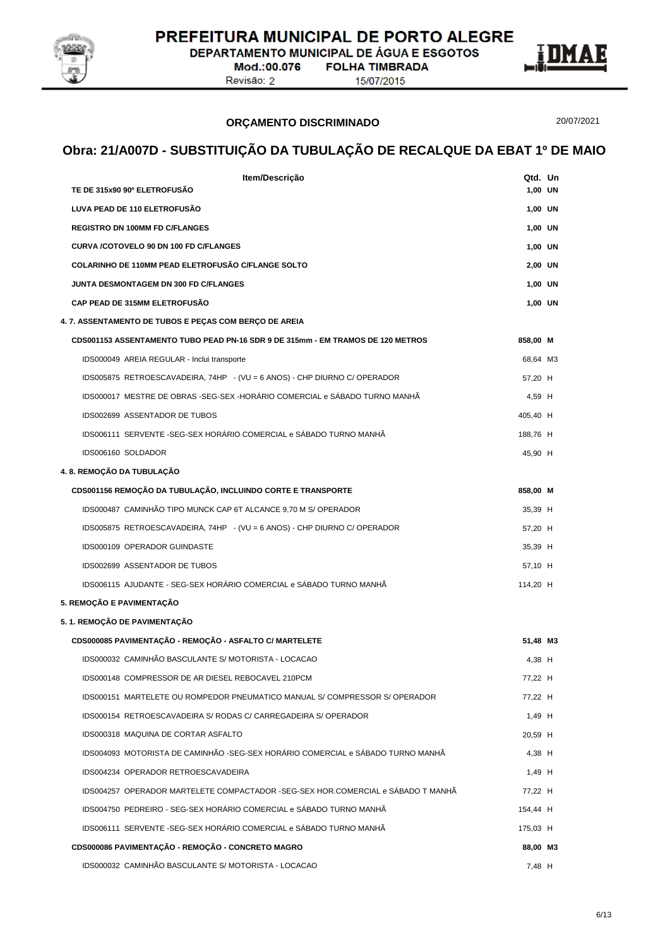

DEPARTAMENTO MUNICIPAL DE ÁGUA E ESGOTOS

Mod.:00.076 Revisão: 2

**FOLHA TIMBRADA** 15/07/2015



**ORÇAMENTO DISCRIMINADO**

20/07/2021

| Item/Descrição                                                                   | Qtd. Un  |  |
|----------------------------------------------------------------------------------|----------|--|
| TE DE 315x90 90º ELETROFUSÃO                                                     | 1,00 UN  |  |
| LUVA PEAD DE 110 ELETROFUSÃO                                                     | 1,00 UN  |  |
| <b>REGISTRO DN 100MM FD C/FLANGES</b>                                            | 1,00 UN  |  |
| CURVA /COTOVELO 90 DN 100 FD C/FLANGES                                           | 1,00 UN  |  |
| COLARINHO DE 110MM PEAD ELETROFUSÃO C/FLANGE SOLTO                               | 2,00 UN  |  |
| JUNTA DESMONTAGEM DN 300 FD C/FLANGES                                            | 1,00 UN  |  |
| <b>CAP PEAD DE 315MM ELETROFUSÃO</b>                                             | 1,00 UN  |  |
| 4.7. ASSENTAMENTO DE TUBOS E PEÇAS COM BERÇO DE AREIA                            |          |  |
| CDS001153 ASSENTAMENTO TUBO PEAD PN-16 SDR 9 DE 315mm - EM TRAMOS DE 120 METROS  | 858,00 M |  |
| IDS000049 AREIA REGULAR - Inclui transporte                                      | 68,64 M3 |  |
| IDS005875 RETROESCAVADEIRA, 74HP - (VU = 6 ANOS) - CHP DIURNO C/ OPERADOR        | 57,20 H  |  |
| IDS000017 MESTRE DE OBRAS -SEG-SEX -HORÁRIO COMERCIAL e SÁBADO TURNO MANHÃ       | 4,59 H   |  |
| IDS002699 ASSENTADOR DE TUBOS                                                    | 405,40 H |  |
| IDS006111 SERVENTE -SEG-SEX HORÁRIO COMERCIAL e SÁBADO TURNO MANHÃ               | 188,76 H |  |
| IDS006160 SOLDADOR                                                               | 45,90 H  |  |
| 4. 8. REMOÇÃO DA TUBULAÇÃO                                                       |          |  |
| CDS001156 REMOCÃO DA TUBULAÇÃO, INCLUINDO CORTE E TRANSPORTE                     | 858,00 M |  |
| IDS000487 CAMINHÃO TIPO MUNCK CAP 6T ALCANCE 9,70 M S/ OPERADOR                  | 35,39 H  |  |
| IDS005875 RETROESCAVADEIRA, 74HP - (VU = 6 ANOS) - CHP DIURNO C/ OPERADOR        | 57,20 H  |  |
| IDS000109 OPERADOR GUINDASTE                                                     | 35,39 H  |  |
| IDS002699 ASSENTADOR DE TUBOS                                                    | 57,10 H  |  |
| IDS006115 AJUDANTE - SEG-SEX HORÁRIO COMERCIAL e SÁBADO TURNO MANHÃ              | 114,20 H |  |
| 5. REMOÇÃO E PAVIMENTAÇÃO                                                        |          |  |
| 5. 1. REMOÇÃO DE PAVIMENTAÇÃO                                                    |          |  |
| CDS000085 PAVIMENTAÇÃO - REMOÇÃO - ASFALTO C/ MARTELETE                          | 51,48 M3 |  |
| IDS000032 CAMINHÃO BASCULANTE S/ MOTORISTA - LOCACAO                             | 4,38 H   |  |
| IDS000148 COMPRESSOR DE AR DIESEL REBOCAVEL 210PCM                               | 77,22 H  |  |
| IDS000151 MARTELETE OU ROMPEDOR PNEUMATICO MANUAL S/ COMPRESSOR S/ OPERADOR      | 77,22 H  |  |
| IDS000154 RETROESCAVADEIRA S/ RODAS C/ CARREGADEIRA S/ OPERADOR                  | 1,49 H   |  |
| IDS000318 MAQUINA DE CORTAR ASFALTO                                              | 20,59 H  |  |
| IDS004093 MOTORISTA DE CAMINHÃO -SEG-SEX HORÁRIO COMERCIAL e SÁBADO TURNO MANHÃ  | 4,38 H   |  |
| IDS004234 OPERADOR RETROESCAVADEIRA                                              | 1,49 H   |  |
| IDS004257 OPERADOR MARTELETE COMPACTADOR -SEG-SEX HOR.COMERCIAL e SÁBADO T MANHÃ | 77,22 H  |  |
| IDS004750 PEDREIRO - SEG-SEX HORÁRIO COMERCIAL e SÁBADO TURNO MANHÃ              | 154,44 H |  |
| IDS006111 SERVENTE -SEG-SEX HORÁRIO COMERCIAL e SÁBADO TURNO MANHÃ               | 175,03 H |  |
| CDS000086 PAVIMENTAÇÃO - REMOÇÃO - CONCRETO MAGRO                                | 88,00 M3 |  |
| IDS000032 CAMINHÃO BASCULANTE S/ MOTORISTA - LOCACAO                             | 7,48 H   |  |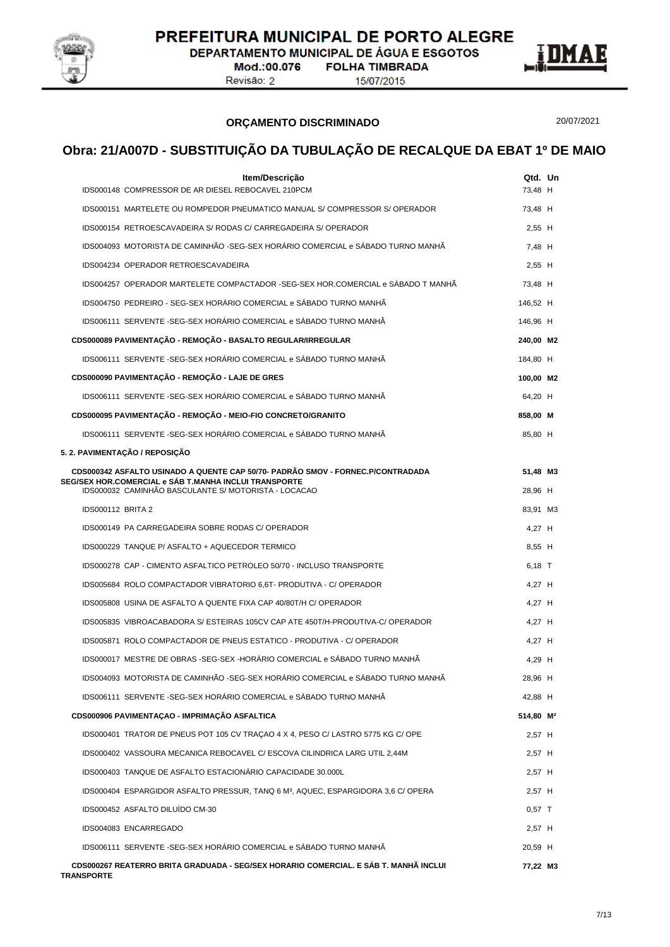

**DEPARTAMENTO MUNICIPAL DE ÁGUA E ESGOTOS** 

Mod.:00.076 Revisão: 2

**FOLHA TIMBRADA** 15/07/2015



#### **ORÇAMENTO DISCRIMINADO**

20/07/2021

| Item/Descrição                                                                                                                           | Qtd. Un               |  |
|------------------------------------------------------------------------------------------------------------------------------------------|-----------------------|--|
| IDS000148 COMPRESSOR DE AR DIESEL REBOCAVEL 210PCM                                                                                       | 73,48 H               |  |
| IDS000151 MARTELETE OU ROMPEDOR PNEUMATICO MANUAL S/ COMPRESSOR S/ OPERADOR                                                              | 73,48 H               |  |
| IDS000154 RETROESCAVADEIRA S/ RODAS C/ CARREGADEIRA S/ OPERADOR                                                                          | 2,55 H                |  |
| IDS004093 MOTORISTA DE CAMINHÃO -SEG-SEX HORÁRIO COMERCIAL e SÁBADO TURNO MANHÃ                                                          | 7.48 H                |  |
| IDS004234 OPERADOR RETROESCAVADEIRA                                                                                                      | 2,55 H                |  |
| IDS004257 OPERADOR MARTELETE COMPACTADOR -SEG-SEX HOR.COMERCIAL e SÁBADO T MANHÃ                                                         | 73,48 H               |  |
| IDS004750 PEDREIRO - SEG-SEX HORÁRIO COMERCIAL e SÁBADO TURNO MANHÃ                                                                      | 146,52 H              |  |
| IDS006111 SERVENTE -SEG-SEX HORÁRIO COMERCIAL e SÁBADO TURNO MANHÃ                                                                       | 146,96 H              |  |
| CDS000089 PAVIMENTAÇÃO - REMOÇÃO - BASALTO REGULAR/IRREGULAR                                                                             | 240,00 M2             |  |
| IDS006111 SERVENTE - SEG-SEX HORÁRIO COMERCIAL e SÁBADO TURNO MANHÃ                                                                      | 184,80 H              |  |
| CDS000090 PAVIMENTAÇÃO - REMOÇÃO - LAJE DE GRES                                                                                          | 100,00 M2             |  |
| IDS006111 SERVENTE -SEG-SEX HORÁRIO COMERCIAL e SÁBADO TURNO MANHÃ                                                                       | 64,20 H               |  |
| CDS000095 PAVIMENTAÇÃO - REMOÇÃO - MEIO-FIO CONCRETO/GRANITO                                                                             | 858,00 M              |  |
| IDS006111 SERVENTE -SEG-SEX HORÁRIO COMERCIAL e SÁBADO TURNO MANHÃ                                                                       | 85,80 H               |  |
| 5. 2. PAVIMENTAÇÃO / REPOSIÇÃO                                                                                                           |                       |  |
| CDS000342 ASFALTO USINADO A QUENTE CAP 50/70- PADRÃO SMOV - FORNEC.P/CONTRADADA<br>SEG/SEX HOR.COMERCIAL e SÁB T.MANHA INCLUI TRANSPORTE | 51,48 M3              |  |
| IDS000032 CAMINHÃO BASCULANTE S/ MOTORISTA - LOCACAO                                                                                     | 28,96 H               |  |
| <b>IDS000112 BRITA 2</b>                                                                                                                 | 83,91 M3              |  |
| IDS000149 PA CARREGADEIRA SOBRE RODAS C/ OPERADOR                                                                                        | 4,27 H                |  |
| IDS000229 TANQUE P/ ASFALTO + AQUECEDOR TERMICO                                                                                          | 8,55 H                |  |
| IDS000278 CAP - CIMENTO ASFALTICO PETROLEO 50/70 - INCLUSO TRANSPORTE                                                                    | $6,18$ T              |  |
| IDS005684 ROLO COMPACTADOR VIBRATORIO 6,6T- PRODUTIVA - C/ OPERADOR                                                                      | 4,27 H                |  |
| IDS005808 USINA DE ASFALTO A QUENTE FIXA CAP 40/80T/H C/ OPERADOR                                                                        | 4,27 H                |  |
| IDS005835 VIBROACABADORA S/ ESTEIRAS 105CV CAP ATE 450T/H-PRODUTIVA-C/ OPERADOR                                                          | 4.27 H                |  |
| IDS005871 ROLO COMPACTADOR DE PNEUS ESTATICO - PRODUTIVA - C/ OPERADOR                                                                   | 4,27 H                |  |
| IDS000017 MESTRE DE OBRAS -SEG-SEX -HORÁRIO COMERCIAL e SÁBADO TURNO MANHÃ                                                               | 4,29 H                |  |
| IDS004093 MOTORISTA DE CAMINHÃO -SEG-SEX HORÁRIO COMERCIAL e SÁBADO TURNO MANHÃ                                                          | 28,96 H               |  |
| IDS006111 SERVENTE -SEG-SEX HORÁRIO COMERCIAL e SÁBADO TURNO MANHÃ                                                                       | 42.88 H               |  |
| CDS000906 PAVIMENTAÇAO - IMPRIMAÇÃO ASFALTICA                                                                                            | 514,80 M <sup>2</sup> |  |
| IDS000401 TRATOR DE PNEUS POT 105 CV TRAÇÃO 4 X 4, PESO C/ LASTRO 5775 KG C/ OPE                                                         | 2,57 H                |  |
| IDS000402 VASSOURA MECANICA REBOCAVEL C/ ESCOVA CILINDRICA LARG UTIL 2,44M                                                               | 2,57 H                |  |
| IDS000403 TANQUE DE ASFALTO ESTACIONÁRIO CAPACIDADE 30.000L                                                                              | 2,57 H                |  |
| IDS000404 ESPARGIDOR ASFALTO PRESSUR, TANQ 6 M <sup>3</sup> , AQUEC, ESPARGIDORA 3,6 C/ OPERA                                            | 2,57 H                |  |
| IDS000452 ASFALTO DILUÍDO CM-30                                                                                                          | $0,57$ T              |  |
| IDS004083 ENCARREGADO                                                                                                                    | 2,57 H                |  |
| IDS006111 SERVENTE -SEG-SEX HORÁRIO COMERCIAL e SÁBADO TURNO MANHÃ                                                                       | 20,59 H               |  |
| CDS000267 REATERRO BRITA GRADUADA - SEG/SEX HORARIO COMERCIAL. E SÁB T. MANHÃ INCLUI<br><b>TRANSPORTE</b>                                | 77,22 M3              |  |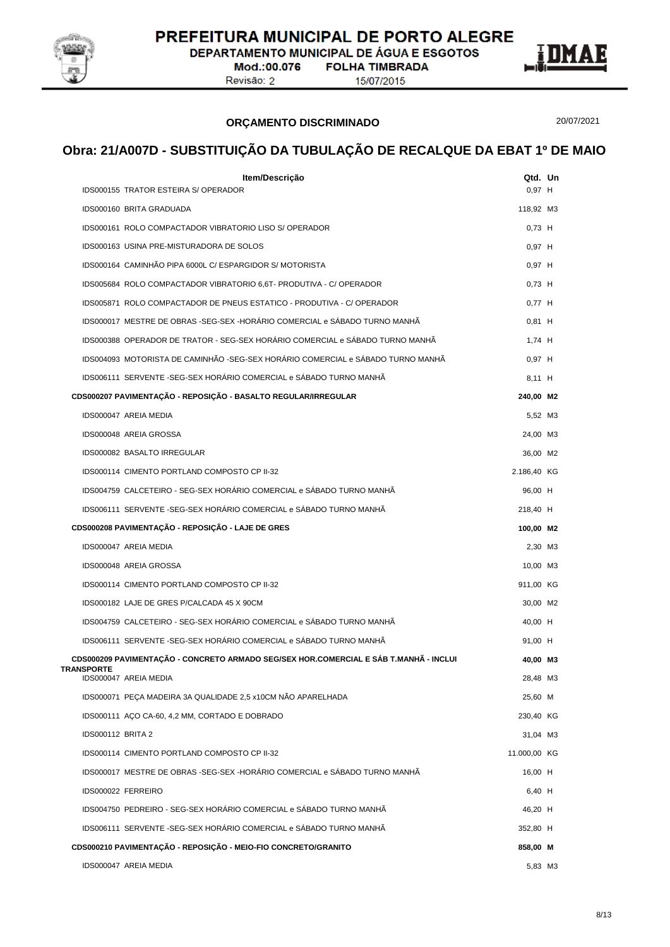

**DEPARTAMENTO MUNICIPAL DE ÁGUA E ESGOTOS** 

Mod.:00.076 **FOLHA TIMBRADA** Revisão: 2

15/07/2015



#### **ORÇAMENTO DISCRIMINADO**

20/07/2021

|                          | Item/Descrição                                                                        | Qtd. Un      |  |
|--------------------------|---------------------------------------------------------------------------------------|--------------|--|
|                          | <b>IDS000155 TRATOR ESTEIRA S/ OPERADOR</b>                                           | $0.97$ H     |  |
|                          | IDS000160 BRITA GRADUADA                                                              | 118,92 M3    |  |
|                          | IDS000161 ROLO COMPACTADOR VIBRATORIO LISO S/ OPERADOR                                | $0,73$ H     |  |
|                          | IDS000163 USINA PRE-MISTURADORA DE SOLOS                                              | $0,97$ H     |  |
|                          | IDS000164 CAMINHÃO PIPA 6000L C/ ESPARGIDOR S/ MOTORISTA                              | $0,97$ H     |  |
|                          | IDS005684 ROLO COMPACTADOR VIBRATORIO 6.6T- PRODUTIVA - C/ OPERADOR                   | $0.73$ H     |  |
|                          | IDS005871 ROLO COMPACTADOR DE PNEUS ESTATICO - PRODUTIVA - C/ OPERADOR                | $0,77$ H     |  |
|                          | IDS000017 MESTRE DE OBRAS -SEG-SEX -HORÁRIO COMERCIAL e SÁBADO TURNO MANHÃ            | $0.81$ H     |  |
|                          | IDS000388 OPERADOR DE TRATOR - SEG-SEX HORÁRIO COMERCIAL e SÁBADO TURNO MANHÃ         | 1,74 H       |  |
|                          | IDS004093 MOTORISTA DE CAMINHÃO -SEG-SEX HORÁRIO COMERCIAL e SÁBADO TURNO MANHÃ       | $0,97$ H     |  |
|                          | IDS006111 SERVENTE -SEG-SEX HORÁRIO COMERCIAL e SÁBADO TURNO MANHÁ                    | 8,11 H       |  |
|                          | CDS000207 PAVIMENTAÇÃO - REPOSIÇÃO - BASALTO REGULAR/IRREGULAR                        | 240,00 M2    |  |
|                          | IDS000047 AREIA MEDIA                                                                 | 5,52 M3      |  |
|                          | IDS000048 AREIA GROSSA                                                                | 24,00 M3     |  |
|                          | IDS000082 BASALTO IRREGULAR                                                           | 36,00 M2     |  |
|                          | IDS000114 CIMENTO PORTLAND COMPOSTO CP II-32                                          | 2.186,40 KG  |  |
|                          | IDS004759 CALCETEIRO - SEG-SEX HORÁRIO COMERCIAL e SÁBADO TURNO MANHÃ                 | 96,00 H      |  |
|                          | IDS006111 SERVENTE -SEG-SEX HORÁRIO COMERCIAL e SÁBADO TURNO MANHÃ                    | 218,40 H     |  |
|                          | CDS000208 PAVIMENTAÇÃO - REPOSIÇÃO - LAJE DE GRES                                     | 100,00 M2    |  |
|                          | IDS000047 AREIA MEDIA                                                                 | 2,30 M3      |  |
|                          | IDS000048 AREIA GROSSA                                                                | 10,00 M3     |  |
|                          | IDS000114 CIMENTO PORTLAND COMPOSTO CP II-32                                          | 911,00 KG    |  |
|                          | IDS000182 LAJE DE GRES P/CALCADA 45 X 90CM                                            | 30,00 M2     |  |
|                          | IDS004759 CALCETEIRO - SEG-SEX HORÁRIO COMERCIAL e SÁBADO TURNO MANHÃ                 | 40,00 H      |  |
|                          | IDS006111 SERVENTE -SEG-SEX HORÁRIO COMERCIAL e SÁBADO TURNO MANHÃ                    | 91,00 H      |  |
|                          | CDS000209 PAVIMENTAÇÃO - CONCRETO ARMADO SEG/SEX HOR.COMERCIAL E SÁB T.MANHÃ - INCLUI | 40,00 M3     |  |
| <b>TRANSPORTE</b>        | IDS000047 AREIA MEDIA                                                                 | 28,48 M3     |  |
|                          | IDS000071 PEÇA MADEIRA 3A QUALIDADE 2,5 x10CM NÃO APARELHADA                          | 25,60 M      |  |
|                          | IDS000111 AÇO CA-60, 4,2 MM, CORTADO E DOBRADO                                        | 230,40 KG    |  |
| <b>IDS000112 BRITA 2</b> |                                                                                       | 31,04 M3     |  |
|                          | IDS000114 CIMENTO PORTLAND COMPOSTO CP II-32                                          | 11.000,00 KG |  |
|                          | IDS000017 MESTRE DE OBRAS -SEG-SEX -HORÂRIO COMERCIAL e SÂBADO TURNO MANHÃ            | 16,00 H      |  |
|                          | IDS000022 FERREIRO                                                                    | 6,40 H       |  |
|                          | IDS004750 PEDREIRO - SEG-SEX HORÁRIO COMERCIAL e SÁBADO TURNO MANHÃ                   | 46,20 H      |  |
|                          | IDS006111 SERVENTE -SEG-SEX HORÁRIO COMERCIAL e SÁBADO TURNO MANHÃ                    | 352,80 H     |  |
|                          | CDS000210 PAVIMENTAÇÃO - REPOSIÇÃO - MEIO-FIO CONCRETO/GRANITO                        | 858,00 M     |  |
|                          | IDS000047 AREIA MEDIA                                                                 | 5,83 M3      |  |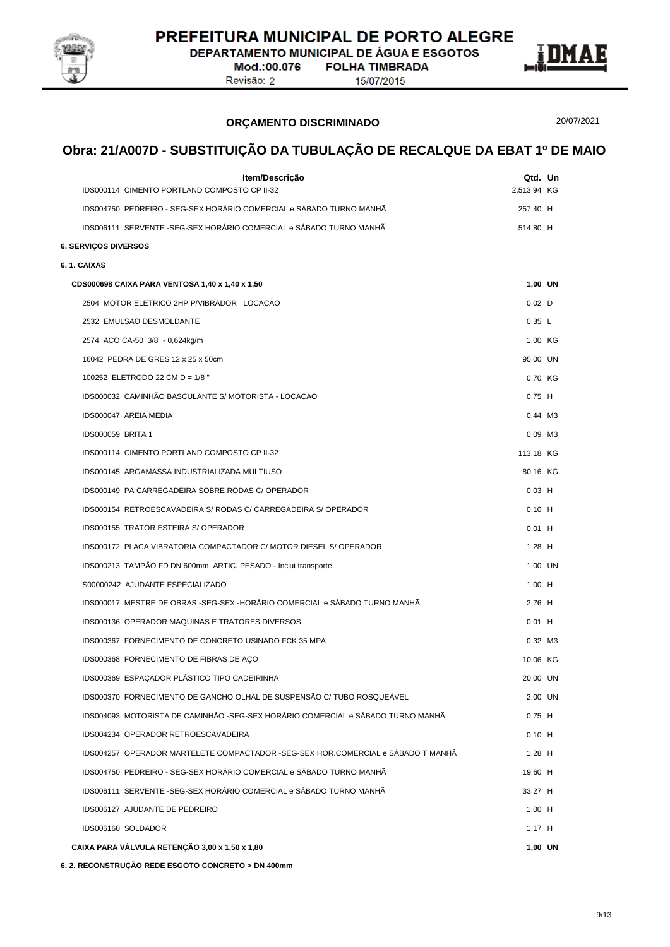

DEPARTAMENTO MUNICIPAL DE ÁGUA E ESGOTOS

Mod.:00.076 **FOLHA TIMBRADA** Revisão: 2

15/07/2015



**ORÇAMENTO DISCRIMINADO**

20/07/2021

# **Obra: 21/A007D - SUBSTITUIÇÃO DA TUBULAÇÃO DE RECALQUE DA EBAT 1º DE MAIO**

| Item/Descrição                                                                   | Qtd. Un     |  |
|----------------------------------------------------------------------------------|-------------|--|
| IDS000114 CIMENTO PORTLAND COMPOSTO CP II-32                                     | 2.513,94 KG |  |
| IDS004750 PEDREIRO - SEG-SEX HORÁRIO COMERCIAL e SÁBADO TURNO MANHÃ              | 257,40 H    |  |
| IDS006111 SERVENTE -SEG-SEX HORÁRIO COMERCIAL e SÁBADO TURNO MANHÃ               | 514,80 H    |  |
| <b>6. SERVICOS DIVERSOS</b>                                                      |             |  |
| 6.1. CAIXAS                                                                      |             |  |
| CDS000698 CAIXA PARA VENTOSA 1,40 x 1,40 x 1,50                                  | 1,00 UN     |  |
| 2504 MOTOR ELETRICO 2HP P/VIBRADOR LOCACAO                                       | $0,02$ D    |  |
| 2532 EMULSAO DESMOLDANTE                                                         | 0,35 L      |  |
| 2574 ACO CA-50 3/8" - 0,624kg/m                                                  | 1,00 KG     |  |
| 16042 PEDRA DE GRES 12 x 25 x 50cm                                               | 95,00 UN    |  |
| 100252 ELETRODO 22 CM D = 1/8 "                                                  | 0,70 KG     |  |
| IDS000032 CAMINHÃO BASCULANTE S/ MOTORISTA - LOCACAO                             | $0,75$ H    |  |
| IDS000047 AREIA MEDIA                                                            | 0.44 M3     |  |
| <b>IDS000059 BRITA 1</b>                                                         | 0,09 M3     |  |
| IDS000114 CIMENTO PORTLAND COMPOSTO CP II-32                                     | 113,18 KG   |  |
| IDS000145 ARGAMASSA INDUSTRIALIZADA MULTIUSO                                     | 80,16 KG    |  |
| IDS000149 PA CARREGADEIRA SOBRE RODAS C/ OPERADOR                                | $0,03$ H    |  |
| IDS000154 RETROESCAVADEIRA S/ RODAS C/ CARREGADEIRA S/ OPERADOR                  | $0,10$ H    |  |
| IDS000155 TRATOR ESTEIRA S/ OPERADOR                                             | $0,01$ H    |  |
| IDS000172 PLACA VIBRATORIA COMPACTADOR C/ MOTOR DIESEL S/ OPERADOR               | $1,28$ H    |  |
| IDS000213 TAMPÃO FD DN 600mm ARTIC. PESADO - Inclui transporte                   | 1,00 UN     |  |
| S00000242 AJUDANTE ESPECIALIZADO                                                 | $1,00$ H    |  |
| IDS000017 MESTRE DE OBRAS -SEG-SEX -HORÁRIO COMERCIAL e SÁBADO TURNO MANHÃ       | 2,76 H      |  |
| IDS000136 OPERADOR MAQUINAS E TRATORES DIVERSOS                                  | $0,01$ H    |  |
| IDS000367 FORNECIMENTO DE CONCRETO USINADO FCK 35 MPA                            | 0,32 M3     |  |
| IDS000368 FORNECIMENTO DE FIBRAS DE AÇO                                          | 10,06 KG    |  |
| IDS000369 ESPAÇADOR PLÁSTICO TIPO CADEIRINHA                                     | 20,00 UN    |  |
| IDS000370 FORNECIMENTO DE GANCHO OLHAL DE SUSPENSÃO C/ TUBO ROSQUEÁVEL           | 2,00 UN     |  |
| IDS004093_MOTORISTA DE CAMINHÃO -SEG-SEX HORÁRIO COMERCIAL e SÁBADO TURNO MANHÃ  | $0,75$ H    |  |
| IDS004234 OPERADOR RETROESCAVADEIRA                                              | $0,10$ H    |  |
| IDS004257 OPERADOR MARTELETE COMPACTADOR -SEG-SEX HOR.COMERCIAL e SÁBADO T MANHÃ | $1.28$ H    |  |
| IDS004750 PEDREIRO - SEG-SEX HORÁRIO COMERCIAL e SÁBADO TURNO MANHÃ              | 19,60 H     |  |
| IDS006111 SERVENTE -SEG-SEX HORÁRIO COMERCIAL e SÁBADO TURNO MANHÃ               | 33,27 H     |  |
| IDS006127 AJUDANTE DE PEDREIRO                                                   | $1,00$ H    |  |
| IDS006160 SOLDADOR                                                               | $1,17$ H    |  |
| CAIXA PARA VÁLVULA RETENÇÃO 3,00 x 1,50 x 1,80                                   | 1,00 UN     |  |

**6. 2. RECONSTRUÇÃO REDE ESGOTO CONCRETO > DN 400mm**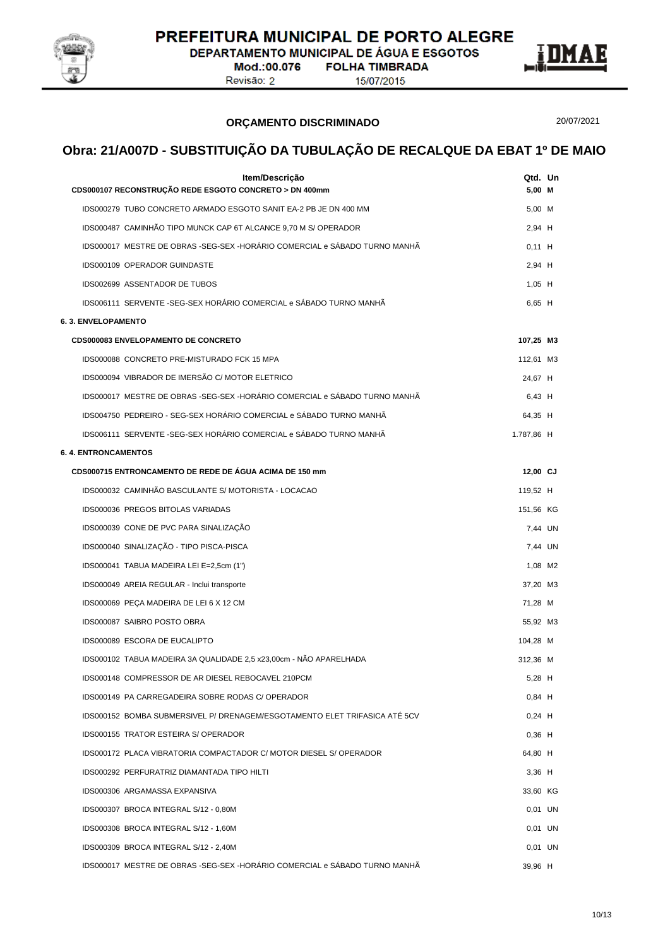

**DEPARTAMENTO MUNICIPAL DE ÁGUA E ESGOTOS FOLHA TIMBRADA** 

Mod.:00.076 Revisão: 2

15/07/2015



#### **ORÇAMENTO DISCRIMINADO**

20/07/2021

| Item/Descrição<br>CDS000107 RECONSTRUÇÃO REDE ESGOTO CONCRETO > DN 400mm   | Qtd. Un<br>5,00 M |  |
|----------------------------------------------------------------------------|-------------------|--|
| IDS000279 TUBO CONCRETO ARMADO ESGOTO SANIT EA-2 PB JE DN 400 MM           | 5,00 M            |  |
| IDS000487 CAMINHÃO TIPO MUNCK CAP 6T ALCANCE 9,70 M S/ OPERADOR            | 2.94 H            |  |
| IDS000017 MESTRE DE OBRAS -SEG-SEX -HORÁRIO COMERCIAL e SÁBADO TURNO MANHÃ | $0,11$ H          |  |
| IDS000109 OPERADOR GUINDASTE                                               | 2,94 H            |  |
| IDS002699 ASSENTADOR DE TUBOS                                              | $1,05$ H          |  |
| IDS006111 SERVENTE -SEG-SEX HORÁRIO COMERCIAL e SÁBADO TURNO MANHÃ         | 6,65 H            |  |
| 6. 3. ENVELOPAMENTO                                                        |                   |  |
| <b>CDS000083 ENVELOPAMENTO DE CONCRETO</b>                                 | 107,25 M3         |  |
| IDS000088 CONCRETO PRE-MISTURADO FCK 15 MPA                                | 112,61 M3         |  |
| IDS000094 VIBRADOR DE IMERSÃO C/ MOTOR ELETRICO                            | 24,67 H           |  |
| IDS000017 MESTRE DE OBRAS -SEG-SEX -HORÁRIO COMERCIAL e SÁBADO TURNO MANHÃ | 6,43 H            |  |
| IDS004750 PEDREIRO - SEG-SEX HORÁRIO COMERCIAL e SÁBADO TURNO MANHÃ        | 64,35 H           |  |
| IDS006111 SERVENTE -SEG-SEX HORÁRIO COMERCIAL e SÁBADO TURNO MANHÃ         | 1.787,86 H        |  |
| <b>6. 4. ENTRONCAMENTOS</b>                                                |                   |  |
| CDS000715 ENTRONCAMENTO DE REDE DE ÁGUA ACIMA DE 150 mm                    | 12,00 CJ          |  |
| IDS000032 CAMINHÃO BASCULANTE S/ MOTORISTA - LOCACAO                       | 119,52 H          |  |
| IDS000036 PREGOS BITOLAS VARIADAS                                          | 151,56 KG         |  |
| IDS000039 CONE DE PVC PARA SINALIZAÇÃO                                     | 7,44 UN           |  |
| IDS000040 SINALIZAÇÃO - TIPO PISCA-PISCA                                   | 7,44 UN           |  |
| IDS000041 TABUA MADEIRA LEI E=2,5cm (1")                                   | 1,08 M2           |  |
| IDS000049 AREIA REGULAR - Inclui transporte                                | 37,20 M3          |  |
| IDS000069 PEÇA MADEIRA DE LEI 6 X 12 CM                                    | 71,28 M           |  |
| IDS000087 SAIBRO POSTO OBRA                                                | 55,92 M3          |  |
| IDS000089 ESCORA DE EUCALIPTO                                              | 104,28 M          |  |
| IDS000102 TABUA MADEIRA 3A QUALIDADE 2,5 x23,00cm - NÃO APARELHADA         | 312,36 M          |  |
| IDS000148 COMPRESSOR DE AR DIESEL REBOCAVEL 210PCM                         | 5,28 H            |  |
| IDS000149 PA CARREGADEIRA SOBRE RODAS C/ OPERADOR                          | $0,84$ H          |  |
| IDS000152 BOMBA SUBMERSIVEL P/ DRENAGEM/ESGOTAMENTO ELET TRIFASICA ATÉ 5CV | $0,24$ H          |  |
| IDS000155 TRATOR ESTEIRA S/ OPERADOR                                       | $0,36$ H          |  |
| IDS000172 PLACA VIBRATORIA COMPACTADOR C/ MOTOR DIESEL S/ OPERADOR         | 64,80 H           |  |
| IDS000292 PERFURATRIZ DIAMANTADA TIPO HILTI                                | $3,36$ H          |  |
| IDS000306 ARGAMASSA EXPANSIVA                                              | 33,60 KG          |  |
| IDS000307 BROCA INTEGRAL S/12 - 0,80M                                      | $0,01$ UN         |  |
| IDS000308 BROCA INTEGRAL S/12 - 1,60M                                      | $0,01$ UN         |  |
| IDS000309 BROCA INTEGRAL S/12 - 2,40M                                      | $0,01$ UN         |  |
| IDS000017 MESTRE DE OBRAS -SEG-SEX -HORÁRIO COMERCIAL e SÁBADO TURNO MANHÃ | 39,96 H           |  |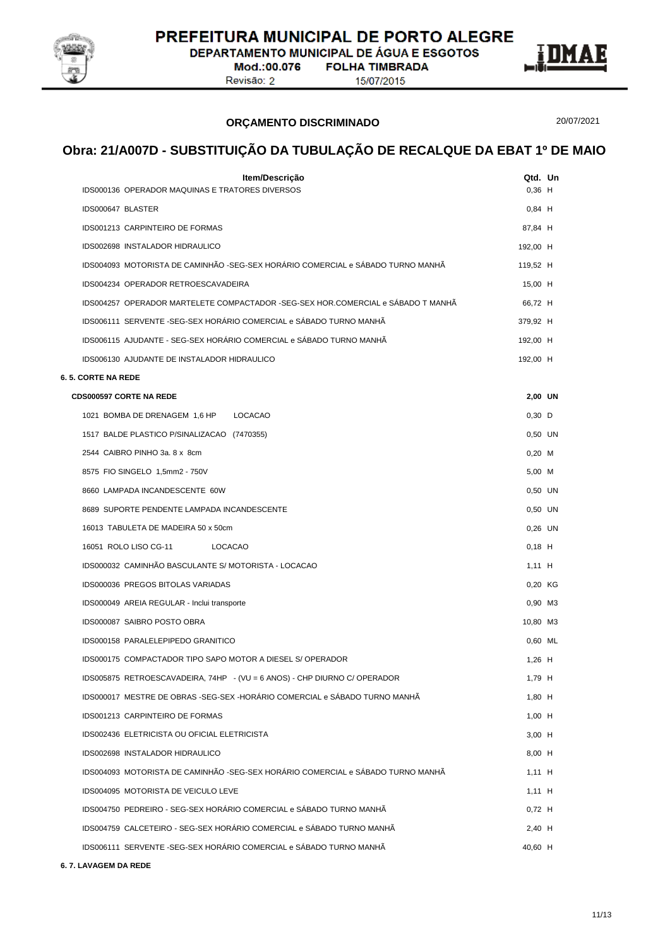

DEPARTAMENTO MUNICIPAL DE ÁGUA E ESGOTOS

Mod.:00.076 Revisão: 2

**FOLHA TIMBRADA** 15/07/2015



**ORÇAMENTO DISCRIMINADO**

20/07/2021

# **Obra: 21/A007D - SUBSTITUIÇÃO DA TUBULAÇÃO DE RECALQUE DA EBAT 1º DE MAIO**

| Item/Descrição                                                                   | Qtd. Un   |  |
|----------------------------------------------------------------------------------|-----------|--|
| IDS000136 OPERADOR MAQUINAS E TRATORES DIVERSOS                                  | $0.36$ H  |  |
| IDS000647 BLASTER                                                                | $0,84$ H  |  |
| IDS001213 CARPINTEIRO DE FORMAS                                                  | 87,84 H   |  |
| IDS002698 INSTALADOR HIDRAULICO                                                  | 192,00 H  |  |
| IDS004093 MOTORISTA DE CAMINHÃO -SEG-SEX HORÁRIO COMERCIAL e SÁBADO TURNO MANHÃ  | 119,52 H  |  |
| IDS004234 OPERADOR RETROESCAVADEIRA                                              | 15,00 H   |  |
| IDS004257 OPERADOR MARTELETE COMPACTADOR -SEG-SEX HOR.COMERCIAL e SÁBADO T MANHÃ | 66,72 H   |  |
| IDS006111 SERVENTE -SEG-SEX HORÁRIO COMERCIAL e SÁBADO TURNO MANHÃ               | 379,92 H  |  |
| IDS006115 AJUDANTE - SEG-SEX HORÁRIO COMERCIAL e SÁBADO TURNO MANHÃ              | 192,00 H  |  |
| IDS006130 AJUDANTE DE INSTALADOR HIDRAULICO                                      | 192,00 H  |  |
| 6. 5. CORTE NA REDE                                                              |           |  |
| <b>CDS000597 CORTE NA REDE</b>                                                   | 2,00 UN   |  |
| 1021 BOMBA DE DRENAGEM 1,6 HP LOCACAO                                            | $0,30$ D  |  |
| 1517 BALDE PLASTICO P/SINALIZACAO (7470355)                                      | 0.50 UN   |  |
| 2544 CAIBRO PINHO 3a. 8 x 8cm                                                    | $0,20$ M  |  |
| 8575 FIO SINGELO 1,5mm2 - 750V                                                   | 5,00 M    |  |
| 8660 LAMPADA INCANDESCENTE 60W                                                   | 0,50 UN   |  |
| 8689 SUPORTE PENDENTE LAMPADA INCANDESCENTE                                      | 0,50 UN   |  |
| 16013 TABULETA DE MADEIRA 50 x 50cm                                              | $0,26$ UN |  |
| 16051 ROLO LISO CG-11<br>LOCACAO                                                 | $0,18$ H  |  |
| IDS000032 CAMINHÃO BASCULANTE S/ MOTORISTA - LOCACAO                             | $1,11$ H  |  |
| IDS000036 PREGOS BITOLAS VARIADAS                                                | 0,20 KG   |  |
| IDS000049 AREIA REGULAR - Inclui transporte                                      | 0,90 M3   |  |
| IDS000087 SAIBRO POSTO OBRA                                                      | 10,80 M3  |  |
| IDS000158 PARALELEPIPEDO GRANITICO                                               | 0,60 ML   |  |
| IDS000175 COMPACTADOR TIPO SAPO MOTOR A DIESEL S/ OPERADOR                       | $1,26$ H  |  |
| IDS005875 RETROESCAVADEIRA, 74HP - (VU = 6 ANOS) - CHP DIURNO C/ OPERADOR        | 1,79 H    |  |
| IDS000017 MESTRE DE OBRAS -SEG-SEX -HORÁRIO COMERCIAL e SÁBADO TURNO MANHÃ       | 1,80 H    |  |
| IDS001213 CARPINTEIRO DE FORMAS                                                  | $1,00$ H  |  |
| IDS002436 ELETRICISTA OU OFICIAL ELETRICISTA                                     | $3,00$ H  |  |
| IDS002698 INSTALADOR HIDRAULICO                                                  | 8,00 H    |  |
| IDS004093 MOTORISTA DE CAMINHÃO -SEG-SEX HORÁRIO COMERCIAL e SÁBADO TURNO MANHÃ  | $1,11$ H  |  |
| IDS004095 MOTORISTA DE VEICULO LEVE                                              | $1,11$ H  |  |
| IDS004750 PEDREIRO - SEG-SEX HORÁRIO COMERCIAL e SÁBADO TURNO MANHÃ              | $0,72$ H  |  |
| IDS004759 CALCETEIRO - SEG-SEX HORÁRIO COMERCIAL e SÁBADO TURNO MANHÃ            | 2,40 H    |  |
| IDS006111 SERVENTE -SEG-SEX HORÁRIO COMERCIAL e SÁBADO TURNO MANHÃ               | 40,60 H   |  |

**6. 7. LAVAGEM DA REDE**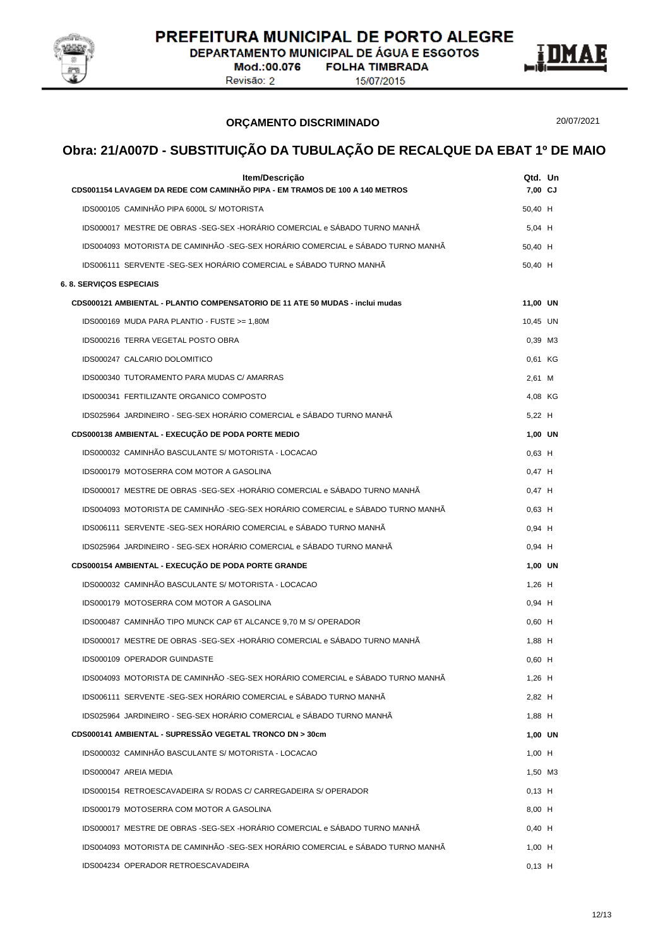

DEPARTAMENTO MUNICIPAL DE ÁGUA E ESGOTOS **FOLHA TIMBRADA** 

Mod.:00.076 Revisão: 2

15/07/2015



**ORÇAMENTO DISCRIMINADO**

20/07/2021

| Item/Descrição<br>CDS001154 LAVAGEM DA REDE COM CAMINHÃO PIPA - EM TRAMOS DE 100 A 140 METROS | Qtd. Un<br>7,00 CJ |  |
|-----------------------------------------------------------------------------------------------|--------------------|--|
| IDS000105 CAMINHÃO PIPA 6000L S/ MOTORISTA                                                    | 50,40 H            |  |
| IDS000017 MESTRE DE OBRAS -SEG-SEX -HORÁRIO COMERCIAL e SÁBADO TURNO MANHÃ                    | $5.04$ H           |  |
| IDS004093 MOTORISTA DE CAMINHÃO -SEG-SEX HORÁRIO COMERCIAL e SÁBADO TURNO MANHÃ               | 50,40 H            |  |
| IDS006111 SERVENTE -SEG-SEX HORÁRIO COMERCIAL e SÁBADO TURNO MANHÃ                            | 50,40 H            |  |
| <b>6. 8. SERVIÇOS ESPECIAIS</b>                                                               |                    |  |
| CDS000121 AMBIENTAL - PLANTIO COMPENSATORIO DE 11 ATE 50 MUDAS - inclui mudas                 | 11,00 UN           |  |
| IDS000169 MUDA PARA PLANTIO - FUSTE >= 1,80M                                                  | 10,45 UN           |  |
| IDS000216 TERRA VEGETAL POSTO OBRA                                                            | 0,39 M3            |  |
| IDS000247 CALCARIO DOLOMITICO                                                                 | 0,61 KG            |  |
| IDS000340 TUTORAMENTO PARA MUDAS C/ AMARRAS                                                   | 2,61 M             |  |
| IDS000341 FERTILIZANTE ORGANICO COMPOSTO                                                      | 4,08 KG            |  |
| IDS025964 JARDINEIRO - SEG-SEX HORÁRIO COMERCIAL e SÁBADO TURNO MANHÃ                         | 5,22 H             |  |
| CDS000138 AMBIENTAL - EXECUÇÃO DE PODA PORTE MEDIO                                            | 1,00 UN            |  |
| IDS000032 CAMINHÃO BASCULANTE S/ MOTORISTA - LOCACAO                                          | $0,63$ H           |  |
| IDS000179 MOTOSERRA COM MOTOR A GASOLINA                                                      | $0,47$ H           |  |
| IDS000017 MESTRE DE OBRAS -SEG-SEX -HORÁRIO COMERCIAL e SÁBADO TURNO MANHÃ                    | $0.47$ H           |  |
| IDS004093 MOTORISTA DE CAMINHÃO -SEG-SEX HORÁRIO COMERCIAL e SÁBADO TURNO MANHÃ               | $0,63$ H           |  |
| IDS006111 SERVENTE -SEG-SEX HORÁRIO COMERCIAL e SÁBADO TURNO MANHÃ                            | $0,94$ H           |  |
| IDS025964_JARDINEIRO - SEG-SEX HORÁRIO COMERCIAL e SÁBADO TURNO MANHÃ                         | $0,94$ H           |  |
| CDS000154 AMBIENTAL - EXECUÇÃO DE PODA PORTE GRANDE                                           | 1,00 UN            |  |
| IDS000032 CAMINHÃO BASCULANTE S/ MOTORISTA - LOCACAO                                          | $1,26$ H           |  |
| IDS000179 MOTOSERRA COM MOTOR A GASOLINA                                                      | $0,94$ H           |  |
| IDS000487 CAMINHÃO TIPO MUNCK CAP 6T ALCANCE 9,70 M S/ OPERADOR                               | $0,60$ H           |  |
| IDS000017 MESTRE DE OBRAS -SEG-SEX -HORÁRIO COMERCIAL e SÁBADO TURNO MANHÃ                    | 1,88 H             |  |
| IDS000109 OPERADOR GUINDASTE                                                                  | $0.60$ H           |  |
| IDS004093 MOTORISTA DE CAMINHÃO -SEG-SEX HORÁRIO COMERCIAL e SÁBADO TURNO MANHÃ               | 1,26 H             |  |
| IDS006111 SERVENTE -SEG-SEX HORÁRIO COMERCIAL e SÁBADO TURNO MANHÃ                            | $2.82$ H           |  |
| IDS025964 JARDINEIRO - SEG-SEX HORÁRIO COMERCIAL e SÁBADO TURNO MANHÃ                         | $1.88$ H           |  |
| CDS000141 AMBIENTAL - SUPRESSÃO VEGETAL TRONCO DN > 30cm                                      | 1,00 UN            |  |
| IDS000032 CAMINHÃO BASCULANTE S/ MOTORISTA - LOCACAO                                          | $1,00$ H           |  |
| IDS000047 AREIA MEDIA                                                                         | 1,50 M3            |  |
| IDS000154 RETROESCAVADEIRA S/ RODAS C/ CARREGADEIRA S/ OPERADOR                               | $0,13$ H           |  |
| IDS000179 MOTOSERRA COM MOTOR A GASOLINA                                                      | 8,00 H             |  |
| IDS000017 MESTRE DE OBRAS -SEG-SEX -HORÁRIO COMERCIAL e SÁBADO TURNO MANHÃ                    | $0,40$ H           |  |
| IDS004093 MOTORISTA DE CAMINHÃO -SEG-SEX HORÁRIO COMERCIAL e SÁBADO TURNO MANHÃ               | $1,00$ H           |  |
| IDS004234 OPERADOR RETROESCAVADEIRA                                                           | $0,13$ H           |  |